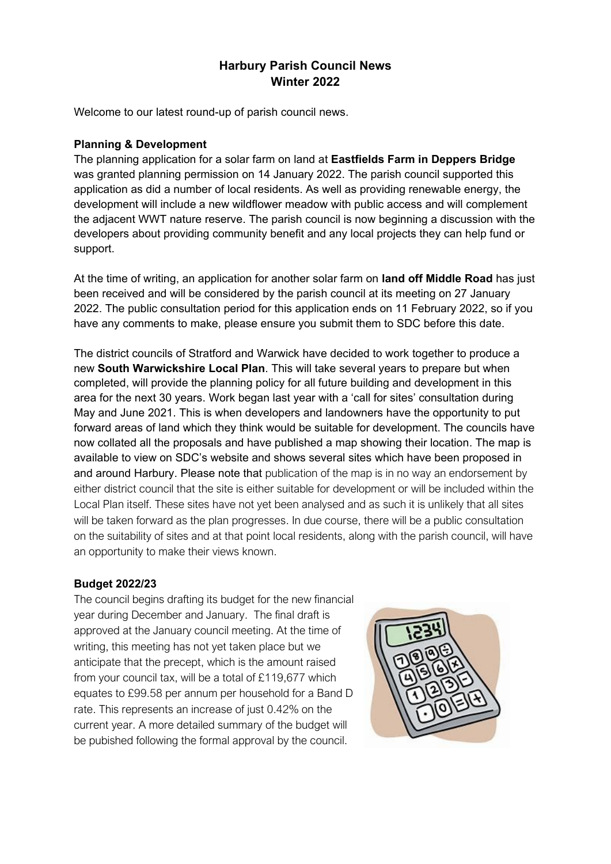# **Harbury Parish Council News Winter 2022**

Welcome to our latest round-up of parish council news.

### **Planning & Development**

The planning application for a solar farm on land at **Eastfields Farm in Deppers Bridge** was granted planning permission on 14 January 2022. The parish council supported this application as did a number of local residents. As well as providing renewable energy, the development will include a new wildflower meadow with public access and will complement the adjacent WWT nature reserve. The parish council is now beginning a discussion with the developers about providing community benefit and any local projects they can help fund or support.

At the time of writing, an application for another solar farm on **land off Middle Road** has just been received and will be considered by the parish council at its meeting on 27 January 2022. The public consultation period for this application ends on 11 February 2022, so if you have any comments to make, please ensure you submit them to SDC before this date.

The district councils of Stratford and Warwick have decided to work together to produce a new **South Warwickshire Local Plan**. This will take several years to prepare but when completed, will provide the planning policy for all future building and development in this area for the next 30 years. Work began last year with a 'call for sites' consultation during May and June 2021. This is when developers and landowners have the opportunity to put forward areas of land which they think would be suitable for development. The councils have now collated all the proposals and have published a map showing their location. The map is available to view on SDC's website and shows several sites which have been proposed in and around Harbury. Please note that publication of the map is in no way an endorsement by either district council that the site is either suitable for development or will be included within the Local Plan itself. These sites have not yet been analysed and as such it is unlikely that all sites will be taken forward as the plan progresses. In due course, there will be a public consultation on the suitability of sites and at that point local residents, along with the parish council, will have an opportunity to make their views known.

### **Budget 2022/23**

The council begins drafting its budget for the new financial year during December and January. The final draft is approved at the January council meeting. At the time of writing, this meeting has not yet taken place but we anticipate that the precept, which is the amount raised from your council tax, will be a total of £119,677 which equates to £99.58 per annum per household for a Band D rate. This represents an increase of just 0.42% on the current year. A more detailed summary of the budget will be pubished following the formal approval by the council.

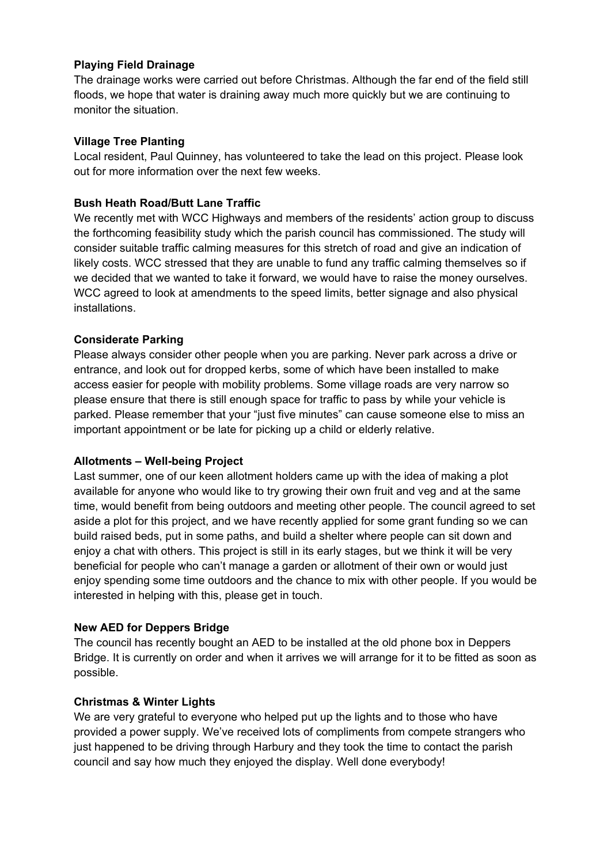# **Playing Field Drainage**

The drainage works were carried out before Christmas. Although the far end of the field still floods, we hope that water is draining away much more quickly but we are continuing to monitor the situation.

## **Village Tree Planting**

Local resident, Paul Quinney, has volunteered to take the lead on this project. Please look out for more information over the next few weeks.

# **Bush Heath Road/Butt Lane Traffic**

We recently met with WCC Highways and members of the residents' action group to discuss the forthcoming feasibility study which the parish council has commissioned. The study will consider suitable traffic calming measures for this stretch of road and give an indication of likely costs. WCC stressed that they are unable to fund any traffic calming themselves so if we decided that we wanted to take it forward, we would have to raise the money ourselves. WCC agreed to look at amendments to the speed limits, better signage and also physical installations.

# **Considerate Parking**

Please always consider other people when you are parking. Never park across a drive or entrance, and look out for dropped kerbs, some of which have been installed to make access easier for people with mobility problems. Some village roads are very narrow so please ensure that there is still enough space for traffic to pass by while your vehicle is parked. Please remember that your "just five minutes" can cause someone else to miss an important appointment or be late for picking up a child or elderly relative.

### **Allotments – Well-being Project**

Last summer, one of our keen allotment holders came up with the idea of making a plot available for anyone who would like to try growing their own fruit and veg and at the same time, would benefit from being outdoors and meeting other people. The council agreed to set aside a plot for this project, and we have recently applied for some grant funding so we can build raised beds, put in some paths, and build a shelter where people can sit down and enjoy a chat with others. This project is still in its early stages, but we think it will be very beneficial for people who can't manage a garden or allotment of their own or would just enjoy spending some time outdoors and the chance to mix with other people. If you would be interested in helping with this, please get in touch.

### **New AED for Deppers Bridge**

The council has recently bought an AED to be installed at the old phone box in Deppers Bridge. It is currently on order and when it arrives we will arrange for it to be fitted as soon as possible.

### **Christmas & Winter Lights**

We are very grateful to everyone who helped put up the lights and to those who have provided a power supply. We've received lots of compliments from compete strangers who just happened to be driving through Harbury and they took the time to contact the parish council and say how much they enjoyed the display. Well done everybody!